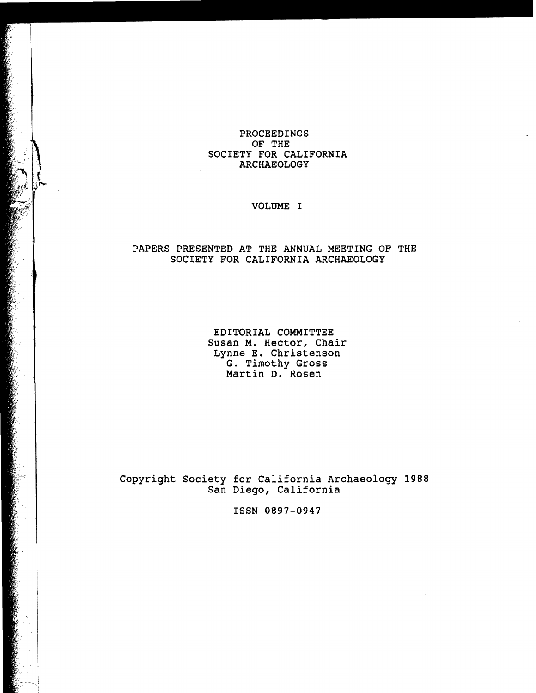## PROCEEDINGS OF THE SOCIETY FOR CALIFORNIA ARCHAEOLOGY

VOLUME I

## PAPERS PRESENTED AT THE ANNUAL MEETING OF THE SOCIETY FOR CALIFORNIA ARCHAEOLOGY

EDITORIAL COMMITTEE Susan M. Hector, Chair Lynne E. Christenson G. Timothy Gross Martin D. Rosen

Copyright Society for California Archaeology 1988 San Diego, California

ISSN 0897-0947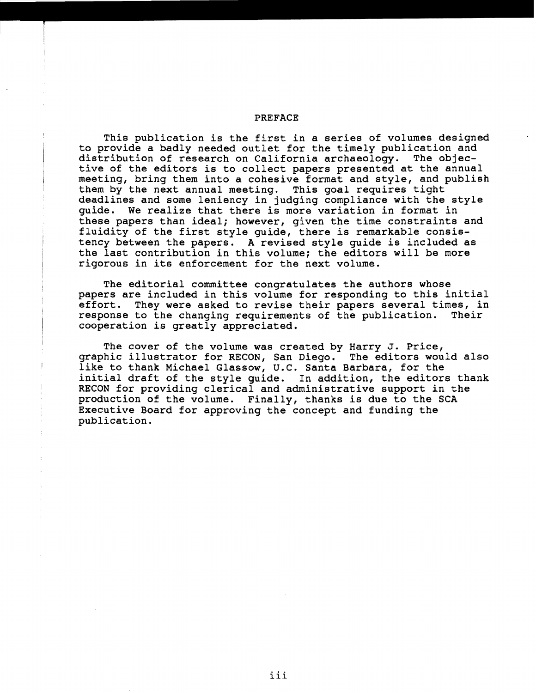## PREFACE

This publication is the first in a series of volumes designed to provide a badly needed outlet for the timely publication and<br>distribution of research on California archaeology. The objecdistribution of research on California archaeology. tive of the editors is to collect papers presented at the annual meeting, bring them into a cohesive format and style, and publish them by the next annual meeting. This goal requires tight deadlines and some leniency in judging compliance with the style guide. We realize that there is more variation in format in these papers than ideal; however, given the time constraints and fluidity of the first style guide, there is remarkable consistency between the papers. A revised style guide is included as the last contribution in this volume; the editors will be more rigorous in its enforcement for the next volume.

The editorial committee congratulates the authors whose papers are included in this volume for responding to this initial<br>effort. They were asked to revise their papers several times, in They were asked to revise their papers several times, in<br>to the changing requirements of the publication. Their response to the changing requirements of the publication. cooperation is greatly appreciated.

The cover of the volume was created by Harry J. Price, graphic illustrator for RECON, San Diego. The editors would also like to thank Michael Glassow, U.C. Santa Barbara, for the initial draft of the style guide. In addition, the editors thank RECON for providing clerical and administrative support in the production of the volume. Finally, thanks is due to the SCA Executive Board for approving the concept and funding the publication.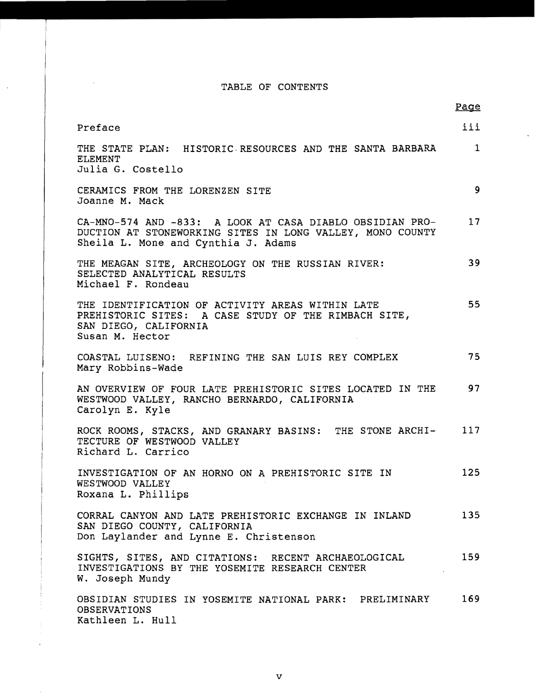## TABLE OF CONTENTS

 $\bar{\beta}$ 

Page

 $\mathcal{A}^{\pm}$ 

| Preface                                                                                                                                                      | iii          |
|--------------------------------------------------------------------------------------------------------------------------------------------------------------|--------------|
| THE STATE PLAN: HISTORIC RESOURCES AND THE SANTA BARBARA<br><b>ELEMENT</b><br>Julia G. Costello                                                              | $\mathbf{1}$ |
|                                                                                                                                                              |              |
| CERAMICS FROM THE LORENZEN SITE<br>Joanne M. Mack                                                                                                            | 9            |
| CA-MNO-574 AND -833: A LOOK AT CASA DIABLO OBSIDIAN PRO-<br>DUCTION AT STONEWORKING SITES IN LONG VALLEY, MONO COUNTY<br>Sheila L. Mone and Cynthia J. Adams | $17 \,$      |
| THE MEAGAN SITE, ARCHEOLOGY ON THE RUSSIAN RIVER:<br>SELECTED ANALYTICAL RESULTS<br>Michael F. Rondeau                                                       | 39           |
| THE IDENTIFICATION OF ACTIVITY AREAS WITHIN LATE<br>PREHISTORIC SITES: A CASE STUDY OF THE RIMBACH SITE,<br>SAN DIEGO, CALIFORNIA<br>Susan M. Hector         | 55           |
| COASTAL LUISENO: REFINING THE SAN LUIS REY COMPLEX<br>Mary Robbins-Wade                                                                                      | 75           |
| AN OVERVIEW OF FOUR LATE PREHISTORIC SITES LOCATED IN THE<br>WESTWOOD VALLEY, RANCHO BERNARDO, CALIFORNIA<br>Carolyn E. Kyle                                 | 97           |
| ROCK ROOMS, STACKS, AND GRANARY BASINS: THE STONE ARCHI-<br>TECTURE OF WESTWOOD VALLEY<br>Richard L. Carrico                                                 | 117          |
| INVESTIGATION OF AN HORNO ON A PREHISTORIC SITE IN<br>WESTWOOD VALLEY<br>Roxana L. Phillips                                                                  | 125          |
| CORRAL CANYON AND LATE PREHISTORIC EXCHANGE IN INLAND<br>SAN DIEGO COUNTY, CALIFORNIA<br>Don Laylander and Lynne E. Christenson                              | 135          |
| SIGHTS, SITES, AND CITATIONS: RECENT ARCHAEOLOGICAL<br>INVESTIGATIONS BY THE YOSEMITE RESEARCH CENTER<br>W. Joseph Mundy                                     | 159          |
| OBSIDIAN STUDIES IN YOSEMITE NATIONAL PARK: PRELIMINARY<br><b>OBSERVATIONS</b><br>Kathleen L. Hull                                                           | 169          |